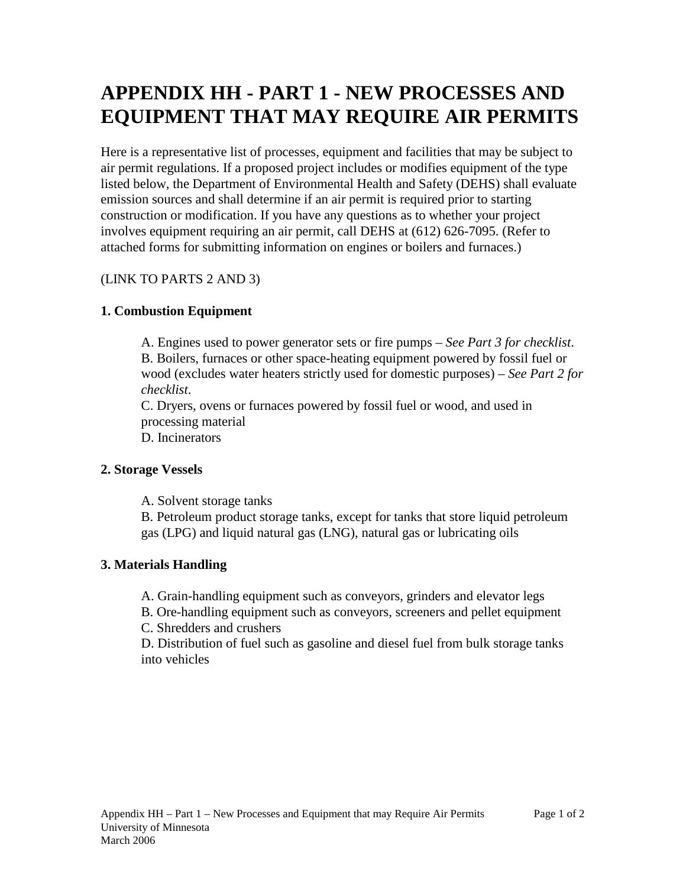# **APPENDIX HH - PART 1 - NEW PROCESSES AND EQUIPMENT THAT MAY REQUIRE AIR PERMITS**

Here is a representative list of processes, equipment and facilities that may be subject to air permit regulations. If a proposed project includes or modifies equipment of the type listed below, the Department of Environmental Health and Safety (DEHS) shall evaluate emission sources and shall determine if an air permit is required prior to starting construction or modification. If you have any questions as to whether your project involves equipment requiring an air permit, call DEHS at (612) 626-7095. (Refer to attached forms for submitting information on engines or boilers and furnaces.)

## (LINK TO PARTS 2 AND 3)

## **1. Combustion Equipment**

A. Engines used to power generator sets or fire pumps – *See Part 3 for checklist*. B. Boilers, furnaces or other space-heating equipment powered by fossil fuel or wood (excludes water heaters strictly used for domestic purposes) – *See Part 2 for checklist*.

C. Dryers, ovens or furnaces powered by fossil fuel or wood, and used in processing material

D. Incinerators

#### **2. Storage Vessels**

A. Solvent storage tanks

B. Petroleum product storage tanks, except for tanks that store liquid petroleum gas (LPG) and liquid natural gas (LNG), natural gas or lubricating oils

#### **3. Materials Handling**

A. Grain-handling equipment such as conveyors, grinders and elevator legs

B. Ore-handling equipment such as conveyors, screeners and pellet equipment

C. Shredders and crushers

D. Distribution of fuel such as gasoline and diesel fuel from bulk storage tanks into vehicles